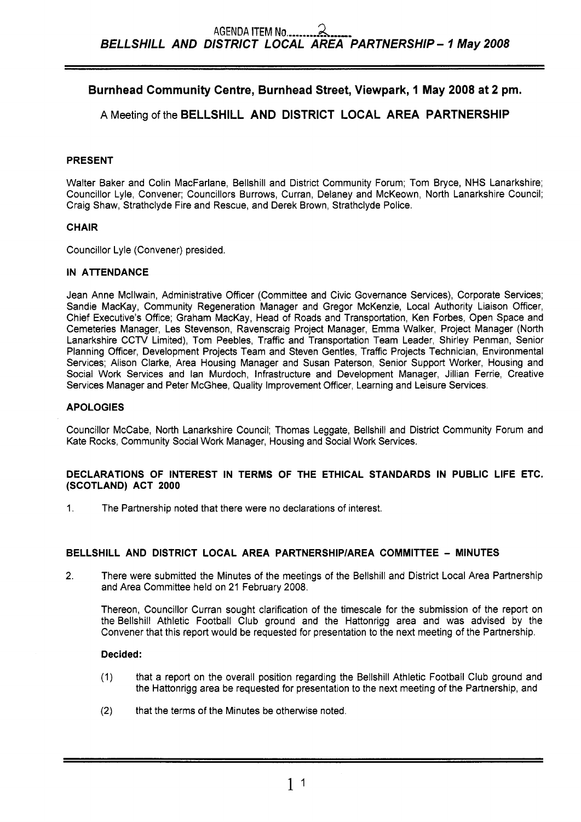# **Burnhead Community Centre, Burnhead Street, Viewpark, 1 May 2008 at 2 pm.**

# **A** Meeting of the **BELLSHILL AND DISTRICT LOCAL AREA PARTNERSHIP**

## **PRESENT**

Walter Baker and Colin MacFarlane, Bellshill and District Community Forum; Tom Bryce, NHS Lanarkshire; Councillor Lyle, Convener; Councillors Burrows, Curran, Delaney and McKeown, North Lanarkshire Council; Craig Shaw, Strathclyde Fire and Rescue, and Derek Brown, Strathclyde Police.

## **CHAIR**

Councillor Lyle (Convener) presided.

### **IN ATTENDANCE**

Jean Anne Mcllwain, Administrative Officer (Committee and Civic Governance Services), Corporate Services; Sandie MacKay, Community Regeneration Manager and Gregor McKenzie, Local Authority Liaison Officer, Chief Executive's Office; Graham MacKay, Head of Roads and Transportation, Ken Forbes, Open Space and Cemeteries Manager, Les Stevenson, Ravenscraig Project Manager, Emma Walker, Project Manager (North Lanarkshire CCTV Limited), Tom Peebles, Traffic and Transportation Team Leader, Shirley Penman, Senior Planning Officer, Development Projects Team and Steven Gentles, Traffic Projects Technician, Environmental Services; Alison Clarke, Area Housing Manager and Susan Paterson, Senior Support Worker, Housing and Social Work Services and lan Murdoch, Infrastructure and Development Manager, Jillian Ferrie, Creative Services Manager and Peter McGhee, Quality Improvement Officer, Learning and Leisure Services.

### **APOLOGIES**

Councillor McCabe, North Lanarkshire Council; Thomas Leggate, Bellshill and District Community Forum and Kate Rocks, Community Social Work Manager, Housing and Social Work Services.

### **DECLARATIONS OF INTEREST IN TERMS OF THE ETHICAL STANDARDS IN PUBLIC LIFE ETC. (SCOTLAND) ACT 2000**

1. The Partnership noted that there were no declarations of interest.

# **BELLSHILL AND DISTRICT LOCAL AREA PARTNERSHlPlAREA COMMITTEE** - **MINUTES**

**2.** There were submitted the Minutes of the meetings of the Bellshill and District Local Area Partnership and Area Committee held on 21 February 2008.

Thereon, Councillor Curran sought clarification of the timescale for the submission of the report on the Bellshill Athletic Football Club ground and the Hattonrigg area and was advised by the Convener that this report would be requested for presentation to the next meeting of the Partnership.

- (1) that a report on the overall position regarding the Bellshill Athletic Football Club ground and the Hattonrigg area be requested for presentation to the next meeting of the Partnership, and
- (2) that the terms of the Minutes be otherwise noted.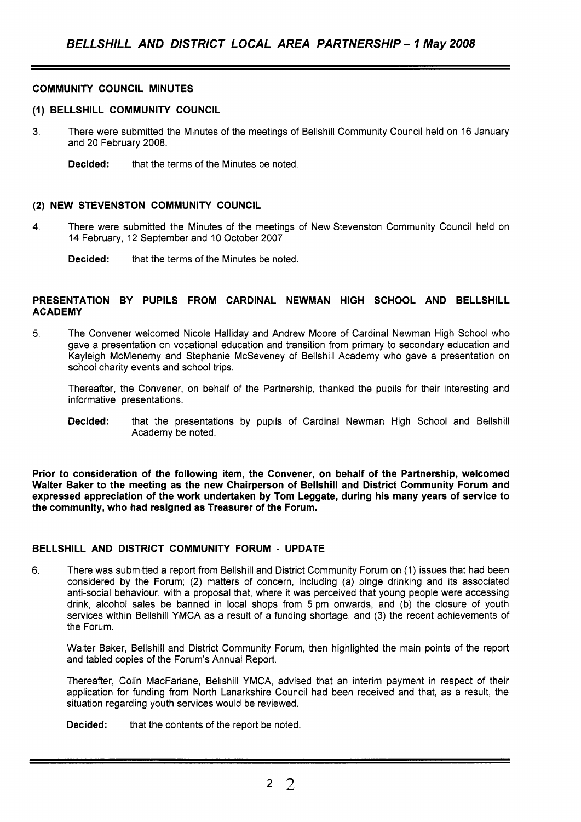## **COMMUNITY COUNCIL MINUTES**

#### **(1) BELLSHILL COMMUNITY COUNCIL**

**3.** There were submitted the Minutes of the meetings of Bellshill Community Council held on 16 January and 20 February 2008.

**Decided:** that the terms of the Minutes be noted.

#### **(2) NEW STEVENSTON COMMUNITY COUNCIL**

4. There were submitted the Minutes of the meetings of New Stevenston Community Council held on 14 February, 12 September and 10 October 2007.

**Decided:** that the terms of the Minutes be noted.

#### **PRESENTATION BY PUPILS FROM CARDINAL NEWMAN HIGH SCHOOL AND BELLSHILL ACADEMY**

**5.** The Convener welcomed Nicole Halliday and Andrew Moore of Cardinal Newman High School who gave a presentation on vocational education and transition from primary to secondary education and Kayleigh McMenemy and Stephanie McSeveney of Bellshill Academy who gave a presentation on school charity events and school trips.

Thereafter, the Convener, on behalf of the Partnership, thanked the pupils for their interesting and informative presentations.

**Decided:** that the presentations by pupils of Cardinal Newman High School and Bellshill Academy be noted.

**Prior to consideration of the following item, the Convener, on behalf of the Partnership, welcomed Walter Baker to the meeting as the new Chairperson of Bellshill and District Community Forum and expressed appreciation of the work undertaken by Tom Leggate, during his many years of service to the community, who had resigned as Treasurer of the Forum.** 

### **BELLSHILL AND DISTRICT COMMUNITY FORUM** - **UPDATE**

6. There was submitted a report from Bellshill and District Community Forum on (1) issues that had been considered by the Forum; (2) matters of concern, including (a) binge drinking and its associated anti-social behaviour, with a proposal that, where it was perceived that young people were accessing drink, alcohol sales be banned in local shops from 5 pm onwards, and (b) the closure of youth services within Bellshill YMCA as a result of a funding shortage, and (3) the recent achievements of the Forum.

Walter Baker, Bellshill and District Community Forum, then highlighted the main points of the report and tabled copies of the Forum's Annual Report.

Thereafter, Colin MacFarlane, Bellshill YMCA, advised that an interim payment in respect of their application for funding from North Lanarkshire Council had been received and that, as a result, the situation regarding youth services would be reviewed.

**Decided:** that the contents of the report be noted.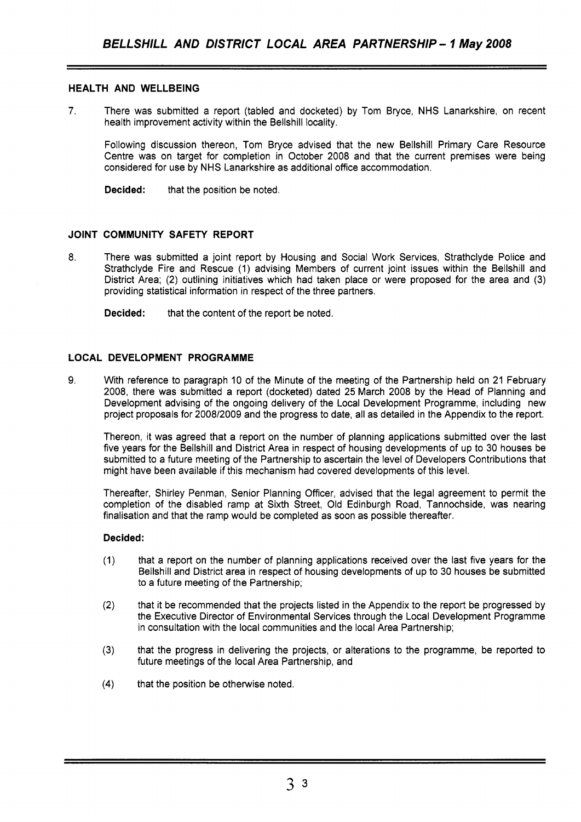### **HEALTH AND WELLBEING**

**7.** There was submitted a report (tabled and docketed) by Tom Bryce, NHS Lanarkshire, on recent health improvement activity within the Bellshill locality.

Following discussion thereon, Tom Bryce advised that the new Bellshill Primary Care Resource Centre was on target for completion in October 2008 and that the current premises were being considered for use by NHS Lanarkshire as additional office accommodation.

**Decided:** that the position be noted.

## **JOINT COMMUNITY SAFETY REPORT**

8. There was submitted a joint report by Housing and Social Work Services, Strathclyde Police and Strathclyde Fire and Rescue (1) advising Members of current joint issues within the Bellshill and District Area; (2) outlining initiatives which had taken place or were proposed for the area and (3) providing statistical information in respect of the three partners.

**Decided:** that the content of the report be noted.

### **LOCAL DEVELOPMENT PROGRAMME**

9. With reference to paragraph 10 of the Minute of the meeting of the Partnership held on 21 February 2008, there was submitted a report (docketed) dated 25 March 2008 by the Head of Planning and Development advising of the ongoing delivery of the Local Development Programme, including new project proposals for 2008/2009 and the progress to date, all as detailed in the Appendix to the report.

Thereon, it was agreed that a report on the number of planning applications submitted over the last five years for the Bellshill and District Area in respect of housing developments of up to 30 houses be submitted to a future meeting of the Partnership to ascertain the level of Developers Contributions that might have been available if this mechanism had covered developments of this level.

Thereafter, Shirley Penman, Senior Planning Officer, advised that the legal agreement to permit the completion of the disabled ramp at Sixth Street, Old Edinburgh Road, Tannochside, was nearing finalisation and that the ramp would be completed as soon as possible thereafter.

- (1) that a report on the number of planning applications received over the last five years for the Bellshill and District area in respect of housing developments of up to 30 houses be submitted to a future meeting of the Partnership;
- (2) that it be recommended that the projects listed in the Appendix to the report be progressed by the Executive Director of Environmental Services through the Local Development Programme in consultation with the local communities and the local Area Partnership;
- **(3)** that the progress in delivering the projects, or alterations to the programme, be reported to future meetings of the local Area Partnership, and
- **(4)** that the position be otherwise noted.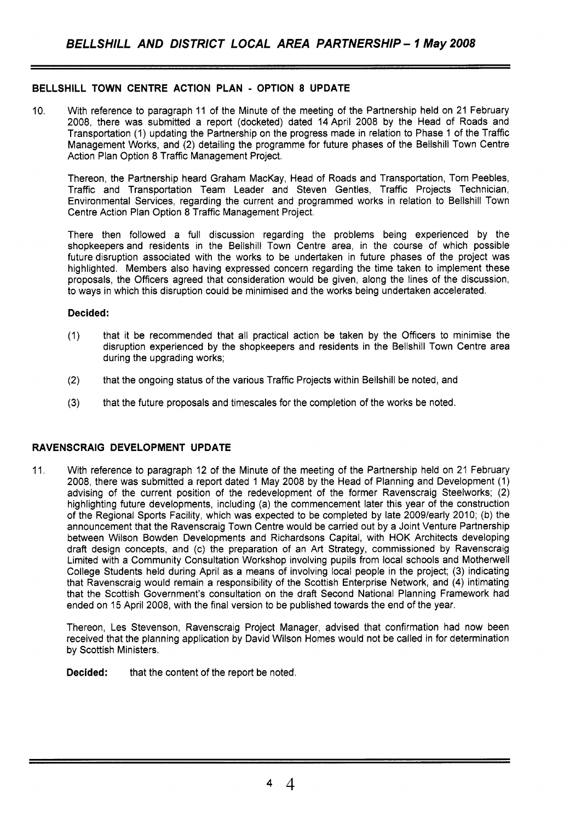### **BELLSHILL TOWN CENTRE ACTION PLAN** - **OPTION 8 UPDATE**

10. With reference to paragraph 11 of the Minute of the meeting of the Partnership held on 21 February 2008, there was submitted a report (docketed) dated 14April 2008 by the Head of Roads and Transportation (1) updating the Partnership on the progress made in relation to Phase 1 of the Traffic Management Works, and (2) detailing the programme for future phases of the Bellshill Town Centre Action Plan Option 8 Traffic Management Project.

Thereon, the Partnership heard Graham MacKay, Head of Roads and Transportation, Tom Peebles, Traffic and Transportation Team Leader and Steven Gentles, Traffic Projects Technician, Environmental Services, regarding the current and programmed works in relation to Bellshill Town Centre Action Plan Option 8 Traffic Management Project.

There then followed a full discussion regarding the problems being experienced by the shopkeepers and residents in the Bellshill Town Centre area, in the course of which possible future disruption associated with the works to be undertaken in future phases of the project was highlighted. Members also having expressed concern regarding the time taken to implement these proposals, the Officers agreed that consideration would be given, along the lines of the discussion, to ways in which this disruption could be minimised and the works being undertaken accelerated.

#### **Decided:**

- (1) that it be recommended that all practical action be taken by the Officers to minimise the disruption experienced by the shopkeepers and residents in the Bellshill Town Centre area during the upgrading works;
- (2) that the ongoing status of the various Traffic Projects within Bellshill be noted, and
- **(3)** that the future proposals and timescales for the completion of the works be noted.

### **RAVENSCRAIG DEVELOPMENT UPDATE**

11. With reference to paragraph 12 of the Minute of the meeting of the Partnership held on 21 February 2008, there was submitted a report dated 1 May 2008 by the Head of Planning and Development (1) advising of the current position of the redevelopment of the former Ravenscraig Steelworks; (2) highlighting future developments, including (a) the commencement later this year of the construction of the Regional Sports Facility, which was expected to be completed by late 2009/early 2010; (b) the announcement that the Ravenscraig Town Centre would be carried out by a Joint Venture Partnership between Wilson Bowden Developments and Richardsons Capital, with HOK Architects developing draft design concepts, and (c) the preparation of an Art Strategy, commissioned by Ravenscraig Limited with a Community Consultation Workshop involving pupils from local schools and Motherwell College Students held during April as a means of involving local people in the project; (3) indicating that Ravenscraig would remain a responsibility of the Scottish Enterprise Network, and (4) intimating that the Scottish Government's consultation on the draft Second National Planning Framework had ended on 15 April 2008, with the final version to be published towards the end of the year.

Thereon, Les Stevenson, Ravenscraig Project Manager, advised that confirmation had now been received that the planning application by David Wilson Homes would not be called in for determination by Scottish Ministers.

**Decided:** that the content of the report be noted.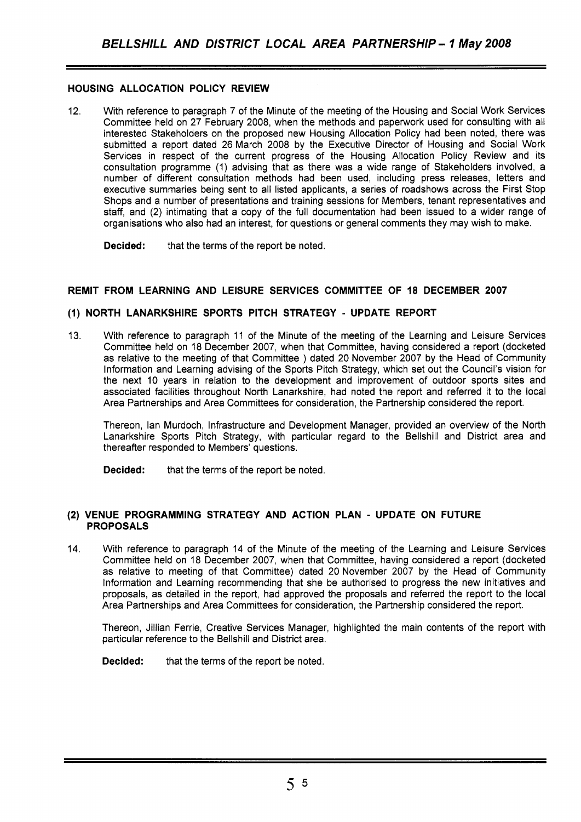# **HOUSING ALLOCATION POLICY REVIEW**

12. With reference to paragraph 7 of the Minute of the meeting of the Housing and Social Work Services Committee held on 27 February 2008, when the methods and paperwork used for consulting with all interested Stakeholders on the proposed new Housing Allocation Policy had been noted, there was submitted a report dated 26 March 2008 by the Executive Director of Housing and Social Work Services in respect of the current progress of the Housing Allocation Policy Review and its consultation programme (1) advising that as there was a wide range of Stakeholders involved, a number of different consultation methods had been used, including press releases, letters and executive summaries being sent to all listed applicants, a series of roadshows across the First Stop Shops and a number of presentations and training sessions for Members, tenant representatives and staff, and (2) intimating that a copy of the full documentation had been issued to a wider range of organisations who also had an interest, for questions or general comments they may wish to make.

**Decided:** that the terms of the report be noted.

# **REMIT FROM LEARNING AND LEISURE SERVICES COMMITTEE OF 18 DECEMBER 2007**

## **(1) NORTH LANARKSHIRE SPORTS PITCH STRATEGY** - **UPDATE REPORT**

13. With reference to paragraph 11 of the Minute of the meeting of the Learning and Leisure Services Committee held on 18 December 2007, when that Committee, having considered a report (docketed as relative to the meeting of that Committee ) dated 20 November 2007 by the Head of Community Information and Learning advising of the Sports Pitch Strategy, which set out the Council's vision for the next 10 years in relation to the development and improvement of outdoor sports sites and associated facilities throughout North Lanarkshire, had noted the report and referred it to the local Area Partnerships and Area Committees for consideration, the Partnership considered the report.

Thereon, lan Murdoch, Infrastructure and Development Manager, provided an overview of the North Lanarkshire Sports Pitch Strategy, with particular regard to the Bellshill and District area and thereafter responded to Members' questions.

**Decided:** that the terms of the report be noted.

#### **(2) VENUE PROGRAMMING STRATEGY AND ACTION PLAN** - **UPDATE ON FUTURE PROPOSALS**

14. With reference to paragraph 14 of the Minute of the meeting of the Learning and Leisure Services Committee held on 18 December 2007, when that Committee, having considered a report (docketed as relative to meeting of that Committee) dated 20 November 2007 by the Head of Community Information and Learning recommending that she be authorised to progress the new initiatives and proposals, as detailed in the report, had approved the proposals and referred the report to the local Area Partnerships and Area Committees for consideration, the Partnership considered the report.

Thereon, Jillian Ferrie, Creative Services Manager, highlighted the main contents of the report with particular reference to the Bellshill and District area.

**Decided:** that the terms of the report be noted.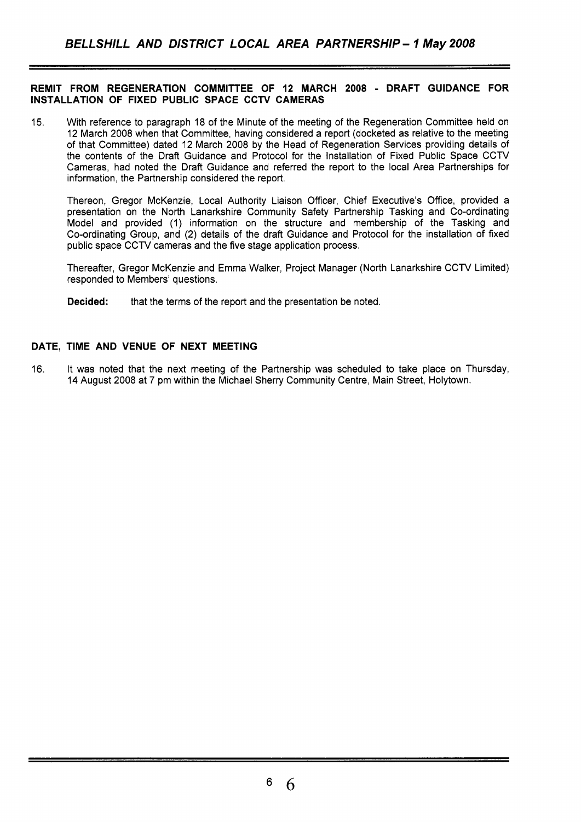### **REMIT FROM REGENERATION COMMITTEE OF 12 MARCH 2008** - **DRAFT GUIDANCE FOR INSTALLATION OF FIXED PUBLIC SPACE CCTV CAMERAS**

15. With reference to paragraph 18 of the Minute of the meeting of the Regeneration Committee held on 12 March 2008 when that Committee, having considered a report (docketed as relative to the meeting of that Committee) dated 12 March 2008 by the Head of Regeneration Services providing details of the contents of the Draft Guidance and Protocol for the Installation of Fixed Public Space CCTV Cameras, had noted the Draft Guidance and referred the report to the local Area Partnerships for information, the Partnership considered the report.

Thereon, Gregor McKenzie, Local Authority Liaison Officer, Chief Executive's Office, provided a presentation on the North Lanarkshire Community Safety Partnership Tasking and Co-ordinating Model and provided (1) information on the structure and membership of the Tasking and Co-ordinating Group, and (2) details of the draft Guidance and Protocol for the installation of fixed public space CCTV cameras and the five stage application process.

Thereafter, Gregor McKenzie and Emma Walker, Project Manager (North Lanarkshire CCTV Limited) responded to Members' questions.

**Decided:** that the terms of the report and the presentation be noted.

## **DATE, TIME AND VENUE OF NEXT MEETING**

16. It was noted that the next meeting of the Partnership was scheduled to take place on Thursday, 14 August 2008 at 7 pm within the Michael Sherry Community Centre, Main Street, Holytown.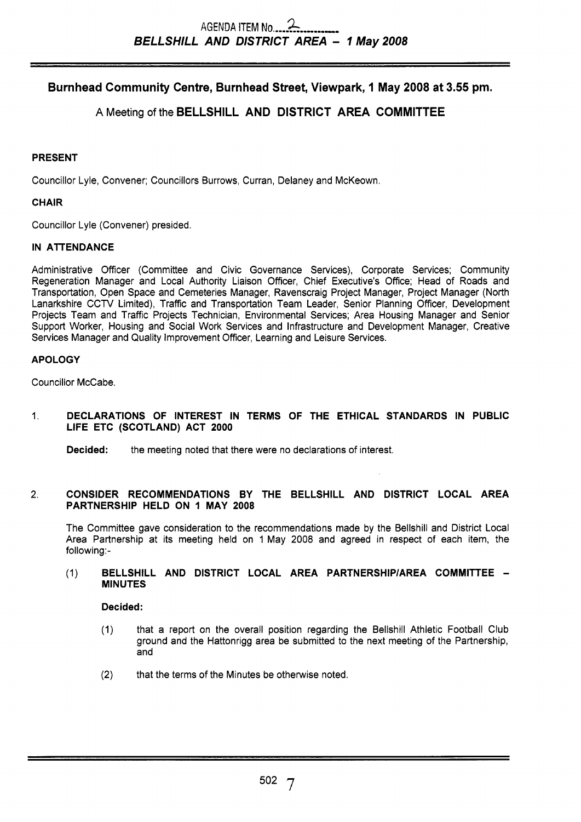# **Burnhead Community Centre, Burnhead Street, Viewpark, 1 May 2008 at 3.55 pm.**

# **A** Meeting of the **BELLSHILL AND DISTRICT AREA COMMITTEE**

# **PRESENT**

Councillor Lyle, Convener; Councillors Burrows, Curran, Delaney and McKeown.

## **CHAIR**

Councillor Lyle (Convener) presided.

## **IN ATTENDANCE**

Administrative Officer (Committee and Civic Governance Services), Corporate Services; Community Regeneration Manager and Local Authority Liaison Officer, Chief Executive's Office; Head of Roads and Transportation, Open Space and Cemeteries Manager, Ravenscraig Project Manager, Project Manager (North Lanarkshire CCTV Limited), Traffic and Transportation Team Leader, Senior Planning Officer, Development Projects Team and Traffic Projects Technician, Environmental Services; Area Housing Manager and Senior Support Worker, Housing and Social Work Services and Infrastructure and Development Manager, Creative Services Manager and Quality Improvement Officer, Learning and Leisure Services.

## **APOLOGY**

Councillor McCabe.

# 1. **DECLARATIONS OF INTEREST IN TERMS OF THE ETHICAL STANDARDS IN PUBLIC LIFE ETC (SCOTLAND) ACT 2000**

**Decided:** the meeting noted that there were no declarations of interest.

#### 2. **CONSIDER RECOMMENDATIONS BY THE BELLSHILL AND DISTRICT LOCAL AREA PARTNERSHIP HELD ON 1 MAY 2008**

The Committee gave consideration to the recommendations made by the Bellshill and District Local Area Partnership at its meeting held on 1 May 2008 and agreed in respect of each item, the following:-

#### (1) **BELLSHILL AND DISTRICT LOCAL AREA PARTNERSHIPIAREA COMMITTEE** - **MINUTES**

- (1) that a report on the overall position regarding the Bellshill Athletic Football Club ground and the Hattonrigg area be submitted to the next meeting of the Partnership, and
- **(2)** that the terms of the Minutes be otherwise noted.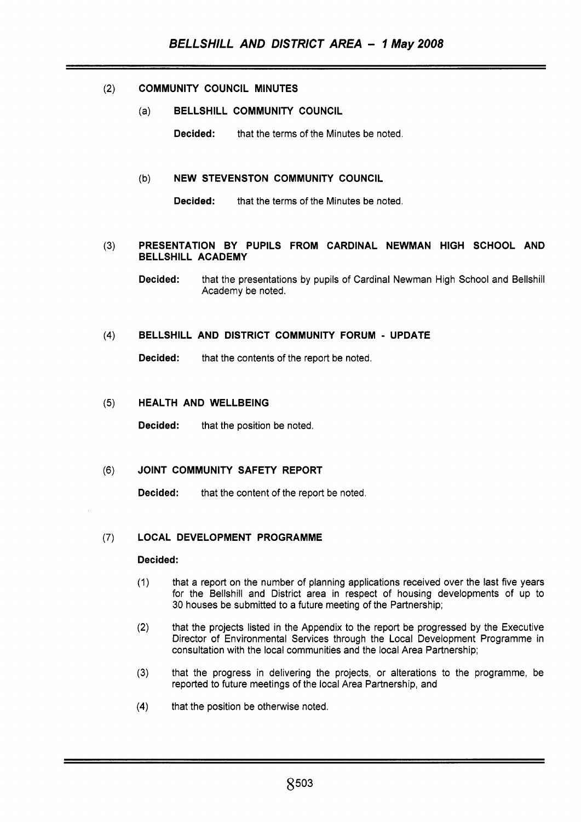# **(2) COMMUNITY COUNCIL MINUTES**

(a) **BELLSHILL COMMUNITY COUNCIL** 

**Decided:** that the terms of the Minutes be noted.

### (b) **NEW STEVENSTON COMMUNITY COUNCIL**

**Decided:** that the terms of the Minutes be noted.

#### **(3) PRESENTATION BY PUPILS FROM CARDINAL NEWMAN HIGH SCHOOL AND BELLSHILL ACADEMY**

**Decided:** that the presentations by pupils of Cardinal Newman High School and Bellshill Academy be noted.

### **(4) BELLSHILL AND DISTRICT COMMUNITY FORUM** - **UPDATE**

**Decided:** that the contents of the report be noted.

### (5) **HEALTH AND WELLBEING**

**Decided:** that the position be noted.

### **(6) JOINT COMMUNITY SAFETY REPORT**

**Decided:** that the content of the report be noted.

### **(7) LOCAL DEVELOPMENT PROGRAMME**

- (1) that a report on the number of planning applications received over the last five years for the Bellshill and District area in respect of housing developments of up to 30 houses be submitted to a future meeting of the Partnership;
- **(2)** that the projects listed in the Appendix to the report be progressed by the Executive Director of Environmental Services through the Local Development Programme in consultation with the local communities and the local Area Partnership;
- **(3)** that the progress in delivering the projects, or alterations to the programme, be reported to future meetings of the local Area Partnership, and
- **(4)** that the position be otherwise noted.